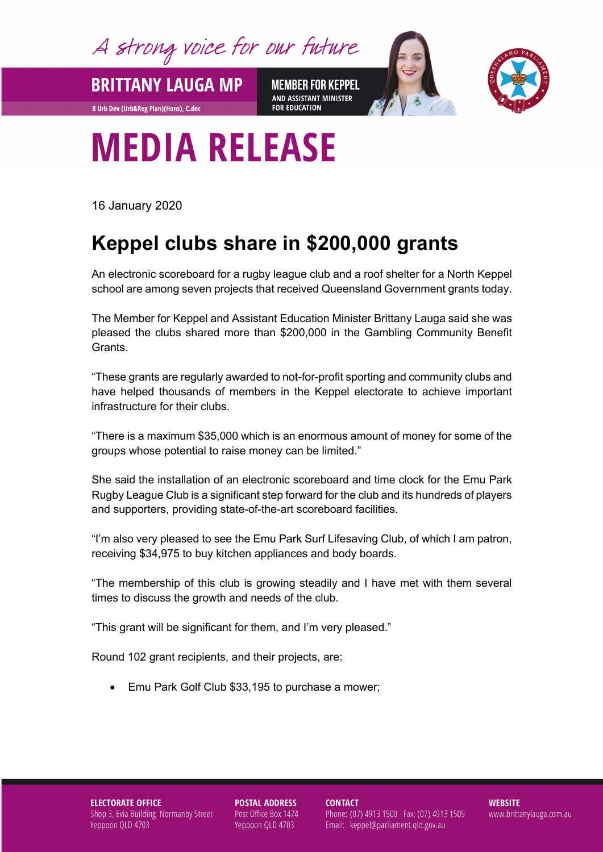A strong voice for our future

**BRITTANY LAUGA MP** 

**B Urb Dev (Urb&Reg Plan)(Hons), C.dec** 

**MEMBER FOR KEPPEL** AND ASSISTANT MINISTER **FOR EDUCATION** 



## **MEDIA RELEASE**

16 January 2020

## **Keppel clubs share in \$200,000 grants**

An electronic scoreboard for a rugby league club and a roof shelter for a North Keppel school are among seven projects that received Queensland Government grants today.

The Member for Keppel and Assistant Education Minister Brittany Lauga said she was pleased the clubs shared more than \$200,000 in the Gambling Community Benefit Grants.

"These grants are regularly awarded to not-for-profit sporting and community clubs and have helped thousands of members in the Keppel electorate to achieve important infrastructure for their clubs.

"There is a maximum \$35,000 which is an enormous amount of money for some of the groups whose potential to raise money can be limited."

She said the installation of an electronic scoreboard and time clock for the Emu Park Rugby League Club is a significant step forward for the club and its hundreds of players and supporters, providing state-of-the-art scoreboard facilities.

"I'm also very pleased to see the Emu Park Surf Lifesaving Club, of which I am patron, receiving \$34,975 to buy kitchen appliances and body boards.

"The membership of this club is growing steadily and I have met with them several times to discuss the growth and needs of the club.

"This grant will be significant for them, and I'm very pleased."

Round 102 grant recipients, and their projects, are:

• Emu Park Golf Club \$33,195 to purchase a mower;

**ELECTORATE OFFICE** Shop 3, Evia Building Normanby Street Yeppoon QLD 4703

**POSTAL ADDRESS** Post Office Box 1474 Yeppoon QLD 4703

**CONTACT** Phone: (07) 4913 1500 Fax: (07) 4913 1509 Email: keppel@parliament.qld.gov.au

**WEBSITE** www.brittanylauga.com.au